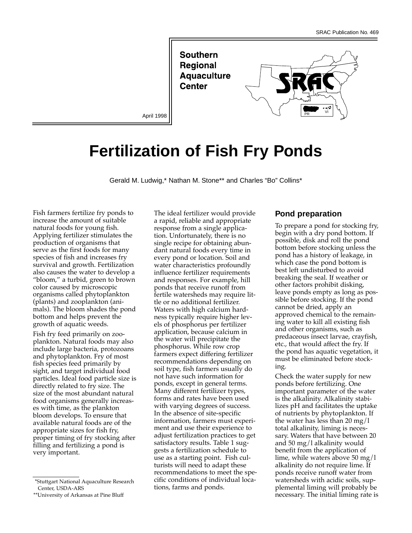**Southern Regional Aquaculture** Center



# **Fertilization of Fish Fry Ponds**

Gerald M. Ludwig,\* Nathan M. Stone\*\* and Charles "Bo" Collins\*

Fish farmers fertilize fry ponds to increase the amount of suitable natural foods for young fish. Applying fertilizer stimulates the production of organisms that serve as the first foods for many species of fish and increases fry survival and growth. Fertilization also causes the water to develop a "bloom," a turbid, green to brown color caused by microscopic organisms called phytoplankton (plants) and zooplankton (animals). The bloom shades the pond bottom and helps prevent the growth of aquatic weeds.

Fish fry feed primarily on zooplankton. Natural foods may also include large bacteria, protozoans and phytoplankton. Fry of most fish species feed primarily by sight, and target individual food particles. Ideal food particle size is directly related to fry size. The size of the most abundant natural food organisms generally increases with time, as the plankton bloom develops. To ensure that available natural foods are of the appropriate sizes for fish fry, proper timing of fry stocking after filling and fertilizing a pond is very important.

The ideal fertilizer would provide a rapid, reliable and appropriate response from a single application. Unfortunately, there is no single recipe for obtaining abundant natural foods every time in every pond or location. Soil and water characteristics profoundly influence fertilizer requirements and responses. For example, hill ponds that receive runoff from fertile watersheds may require little or no additional fertilizer. Waters with high calcium hardness typically require higher levels of phosphorus per fertilizer application, because calcium in the water will precipitate the phosphorus. While row crop farmers expect differing fertilizer recommendations depending on soil type, fish farmers usually do not have such information for ponds, except in general terms. Many different fertilizer types, forms and rates have been used with varying degrees of success. In the absence of site-specific information, farmers must experiment and use their experience to adjust fertilization practices to get satisfactory results. Table 1 suggests a fertilization schedule to use as a starting point. Fish culturists will need to adapt these recommendations to meet the specific conditions of individual locations, farms and ponds.

## **Pond preparation**

To prepare a pond for stocking fry, begin with a dry pond bottom. If possible, disk and roll the pond bottom before stocking unless the pond has a history of leakage, in which case the pond bottom is best left undisturbed to avoid breaking the seal. If weather or other factors prohibit disking, leave ponds empty as long as possible before stocking. If the pond cannot be dried, apply an approved chemical to the remaining water to kill all existing fish and other organisms, such as predaceous insect larvae, crayfish, etc., that would affect the fry. If the pond has aquatic vegetation, it must be eliminated before stocking.

Check the water supply for new ponds before fertilizing. One important parameter of the water is the alkalinity. Alkalinity stabilizes pH and facilitates the uptake of nutrients by phytoplankton. If the water has less than 20 mg/l total alkalinity, liming is necessary. Waters that have between 20 and 50 mg/l alkalinity would benefit from the application of lime, while waters above 50 mg/l alkalinity do not require lime. If ponds receive runoff water from watersheds with acidic soils, supplemental liming will probably be necessary. The initial liming rate is

<sup>\*</sup>Stuttgart National Aquaculture Research Center, USDA-ARS

<sup>\*\*</sup>University of Arkansas at Pine Bluff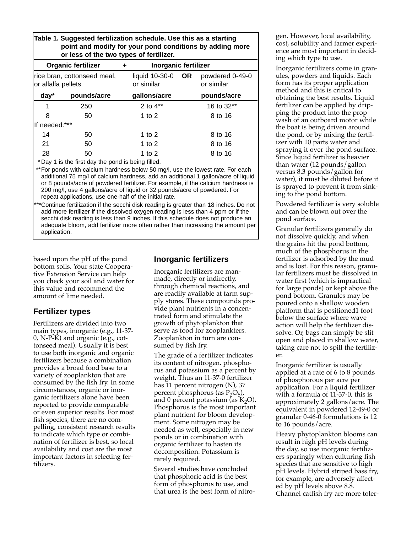**Table 1. Suggested fertilization schedule. Use this as a starting point and modify for your pond conditions by adding more or less of the two types of fertilizer.**

| <b>Organic fertilizer</b> |                                                             | ٠ | <b>Inorganic fertilizer</b>          |           |                               |
|---------------------------|-------------------------------------------------------------|---|--------------------------------------|-----------|-------------------------------|
| or alfalfa pellets        | rice bran, cottonseed meal,                                 |   | liquid 10-30-0<br>or similar         | <b>OR</b> | powdered 0-49-0<br>or similar |
| $day*$                    | pounds/acre                                                 |   | gallons/acre                         |           | pounds/acre                   |
| 1                         | 250                                                         |   | 2 to $4**$                           |           | 16 to 32**                    |
| 8                         | 50                                                          |   | 1 to $2$<br>8 to 16                  |           |                               |
| If needed:***             |                                                             |   |                                      |           |                               |
| 14                        | 50                                                          |   | 1 to $2$                             |           | 8 to 16                       |
| 21                        | 50                                                          |   | 1 to $2$                             |           | 8 to 16                       |
| 28<br>$\overline{a}$      | 50<br>$\sim$ $\sim$ $\sim$<br>$\cdots$ $\cdots$<br>$\sim$ 1 |   | 1 to $2$<br>8 to 16<br>.<br>$\cdots$ |           |                               |

\* Day 1 is the first day the pond is being filled.

\*\* For ponds with calcium hardness below 50 mg/l, use the lowest rate. For each additional 75 mg/l of calcium hardness, add an additional 1 gallon/acre of liquid or 8 pounds/acre of powdered fertilizer. For example, if the calcium hardness is 200 mg/l, use 4 gallons/acre of liquid or 32 pounds/acre of powdered. For repeat applications, use one-half of the initial rate.

\*Continue fertilization if the secchi disk reading is greater than 18 inches. Do not add more fertilizer if the dissolved oxygen reading is less than 4 ppm or if the secchi disk reading is less than 9 inches. If this schedule does not produce an adequate bloom, add fertilizer more often rather than increasing the amount per application.

based upon the pH of the pond bottom soils. Your state Cooperative Extension Service can help you check your soil and water for this value and recommend the amount of lime needed.

# **Fertilizer types**

Fertilizers are divided into two main types, inorganic (e.g., 11-37- 0, N-P-K) and organic (e.g., cottonseed meal). Usually it is best to use both inorganic and organic fertilizers because a combination provides a broad food base to a variety of zooplankton that are consumed by the fish fry. In some circumstances, organic or inorganic fertilizers alone have been reported to provide comparable or even superior results. For most fish species, there are no compelling, consistent research results to indicate which type or combination of fertilizer is best, so local availability and cost are the most important factors in selecting fertilizers.

# **Inorganic fertilizers**

Inorganic fertilizers are manmade, directly or indirectly, through chemical reactions, and are readily available at farm supply stores. These compounds provide plant nutrients in a concentrated form and stimulate the growth of phytoplankton that serve as food for zooplankters. Zooplankton in turn are consumed by fish fry.

The grade of a fertilizer indicates its content of nitrogen, phosphorus and potassium as a percent by weight. Thus an 11-37-0 fertilizer has 11 percent nitrogen (N), 37 percent phosphorus (as  $P_2O_5$ ), and 0 percent potassium (as  $K_2O$ ). Phosphorus is the most important plant nutrient for bloom development. Some nitrogen may be needed as well, especially in new ponds or in combination with organic fertilizer to hasten its decomposition. Potassium is rarely required.

Several studies have concluded that phosphoric acid is the best form of phosphorus to use, and that urea is the best form of nitrogen. However, local availability, cost, solubility and farmer experience are most important in deciding which type to use.

Inorganic fertilizers come in granules, powders and liquids. Each form has its proper application method and this is critical to obtaining the best results. Liquid fertilizer can be applied by dripping the product into the prop wash of an outboard motor while the boat is being driven around the pond, or by mixing the fertilizer with 10 parts water and spraying it over the pond surface. Since liquid fertilizer is heavier than water (12 pounds/gallon versus 8.3 pounds/gallon for water), it must be diluted before it is sprayed to prevent it from sinking to the pond bottom.

Powdered fertilizer is very soluble and can be blown out over the pond surface.

Granular fertilizers generally do not dissolve quickly, and when the grains hit the pond bottom, much of the phosphorus in the fertilizer is adsorbed by the mud and is lost. For this reason, granular fertilizers must be dissolved in water first (which is impractical for large ponds) or kept above the pond bottom. Granules may be poured onto a shallow wooden platform that is positioned1 foot below the surface where wave action will help the fertilizer dissolve. Or, bags can simply be slit open and placed in shallow water, taking care not to spill the fertilizer.

Inorganic fertilizer is usually applied at a rate of 6 to 8 pounds of phosphorous per acre per application. For a liquid fertilizer with a formula of 11-37-0, this is approximately 2 gallons/acre. The equivalent in powdered 12-49-0 or granular 0-46-0 formulations is 12 to 16 pounds/acre.

Heavy phytoplankton blooms can result in high pH levels during the day, so use inorganic fertilizers sparingly when culturing fish species that are sensitive to high pH levels. Hybrid striped bass fry, for example, are adversely affected by pH levels above 8.8. Channel catfish fry are more toler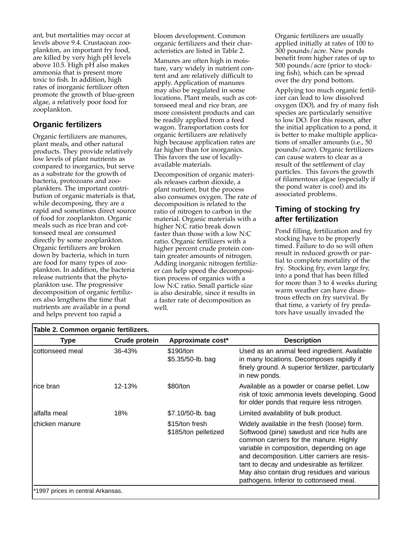ant, but mortalities may occur at levels above 9.4. Crustacean zooplankton, an important fry food, are killed by very high pH levels above 10.5. High pH also makes ammonia that is present more toxic to fish. In addition, high rates of inorganic fertilizer often promote the growth of blue-green algae, a relatively poor food for zooplankton.

# **Organic fertilizers**

Organic fertilizers are manures, plant meals, and other natural products. They provide relatively low levels of plant nutrients as compared to inorganics, but serve as a substrate for the growth of bacteria, protozoans and zooplankters. The important contribution of organic materials is that, while decomposing, they are a rapid and sometimes direct source of food for zooplankton. Organic meals such as rice bran and cottonseed meal are consumed directly by some zooplankton. Organic fertilizers are broken down by bacteria, which in turn are food for many types of zooplankton. In addition, the bacteria release nutrients that the phytoplankton use. The progressive decomposition of organic fertilizers also lengthens the time that nutrients are available in a pond and helps prevent too rapid a

bloom development. Common organic fertilizers and their characteristics are listed in Table 2.

Manures are often high in moisture, vary widely in nutrient content and are relatively difficult to apply. Application of manures may also be regulated in some locations. Plant meals, such as cottonseed meal and rice bran, are more consistent products and can be readily applied from a feed wagon. Transportation costs for organic fertilizers are relatively high because application rates are far higher than for inorganics. This favors the use of locallyavailable materials.

Decomposition of organic materials releases carbon dioxide, a plant nutrient, but the process also consumes oxygen. The rate of decomposition is related to the ratio of nitrogen to carbon in the material. Organic materials with a higher N:C ratio break down faster than those with a low N:C ratio. Organic fertilizers with a higher percent crude protein contain greater amounts of nitrogen. Adding inorganic nitrogen fertilizer can help speed the decomposition process of organics with a low N:C ratio. Small particle size is also desirable, since it results in a faster rate of decomposition as well.

Organic fertilizers are usually applied initially at rates of 100 to 300 pounds/acre. New ponds benefit from higher rates of up to 500 pounds/acre (prior to stocking fish), which can be spread over the dry pond bottom.

Applying too much organic fertilizer can lead to low dissolved oxygen (DO), and fry of many fish species are particularly sensitive to low DO. For this reason, after the initial application to a pond, it is better to make multiple applications of smaller amounts (i.e., 50 pounds/acre). Organic fertilizers can cause waters to clear as a result of the settlement of clay particles. This favors the growth of filamentous algae (especially if the pond water is cool) and its associated problems.

# **Timing of stocking fry after fertilization**

Pond filling, fertilization and fry stocking have to be properly timed. Failure to do so will often result in reduced growth or partial to complete mortality of the fry. Stocking fry, even large fry, into a pond that has been filled for more than 3 to 4 weeks during warm weather can have disastrous effects on fry survival. By that time, a variety of fry predators have usually invaded the

| Type             | Crude protein | Approximate cost*                      | <b>Description</b>                                                                                                                                                                                                                                                                                                                                                         |
|------------------|---------------|----------------------------------------|----------------------------------------------------------------------------------------------------------------------------------------------------------------------------------------------------------------------------------------------------------------------------------------------------------------------------------------------------------------------------|
| Icottonseed meal | 36-43%        | \$190/ton<br>\$5.35/50-lb. bag         | Used as an animal feed ingredient. Available<br>in many locations. Decomposes rapidly if<br>finely ground. A superior fertilizer, particularly<br>in new ponds.                                                                                                                                                                                                            |
| Irice bran       | 12-13%        | \$80/ton                               | Available as a powder or coarse pellet. Low<br>risk of toxic ammonia levels developing. Good<br>for older ponds that require less nitrogen.                                                                                                                                                                                                                                |
| lalfalfa meal    | 18%           | \$7.10/50-lb. bag                      | Limited availability of bulk product.                                                                                                                                                                                                                                                                                                                                      |
| Ichicken manure  |               | \$15/ton fresh<br>\$185/ton pelletized | Widely available in the fresh (loose) form.<br>Softwood (pine) sawdust and rice hulls are<br>common carriers for the manure. Highly<br>variable in composition, depending on age<br>and decomposition. Litter carriers are resis-<br>tant to decay and undesirable as fertilizer.<br>May also contain drug residues and various<br>pathogens. Inferior to cottonseed meal. |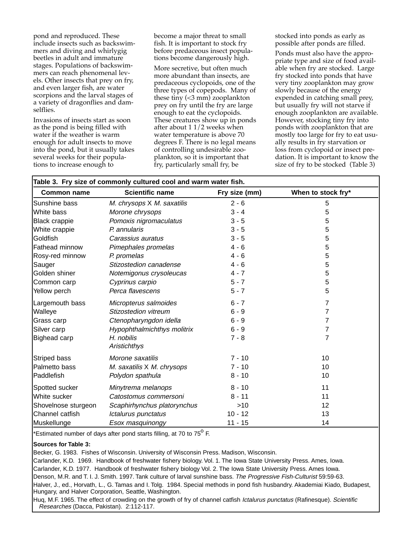pond and reproduced. These include insects such as backswimmers and diving and whirlygig beetles in adult and immature stages. Populations of backswimmers can reach phenomenal levels. Other insects that prey on fry, and even larger fish, are water scorpions and the larval stages of a variety of dragonflies and damselflies.

Invasions of insects start as soon as the pond is being filled with water if the weather is warm enough for adult insects to move into the pond, but it usually takes several weeks for their populations to increase enough to

become a major threat to small fish. It is important to stock fry before predaceous insect populations become dangerously high.

More secretive, but often much more abundant than insects, are predaceous cyclopoids, one of the three types of copepods. Many of these tiny (<3 mm) zooplankton prey on fry until the fry are large enough to eat the cyclopoids. These creatures show up in ponds after about 1 1/2 weeks when water temperature is above 70 degrees F. There is no legal means of controlling undesirable zooplankton, so it is important that fry, particularly small fry, be

stocked into ponds as early as possible after ponds are filled.

Ponds must also have the appropriate type and size of food available when fry are stocked. Large fry stocked into ponds that have very tiny zooplankton may grow slowly because of the energy expended in catching small prey, but usually fry will not starve if enough zooplankton are available. However, stocking tiny fry into ponds with zooplankton that are mostly too large for fry to eat usually results in fry starvation or loss from cyclopoid or insect predation. It is important to know the size of fry to be stocked (Table 3)

| Table 3. Fry size of commonly cultured cool and warm water fish. |                             |               |                    |  |
|------------------------------------------------------------------|-----------------------------|---------------|--------------------|--|
| <b>Scientific name</b><br><b>Common name</b>                     |                             | Fry size (mm) | When to stock fry* |  |
| Sunshine bass                                                    | M. chrysops X M. saxatilis  | $2 - 6$       | 5                  |  |
| White bass                                                       | Morone chrysops             | $3 - 4$       | 5                  |  |
| <b>Black crappie</b>                                             | Pomoxis nigromaculatus      | $3 - 5$       | 5                  |  |
| White crappie                                                    | P. annularis                | $3 - 5$       | 5                  |  |
| Goldfish                                                         | Carassius auratus           | $3 - 5$       | 5                  |  |
| Fathead minnow                                                   | Pimephales promelas         | $4 - 6$       | 5                  |  |
| Rosy-red minnow                                                  | P. promelas                 | $4 - 6$       | 5                  |  |
| Sauger                                                           | Stizostedion canadense      | $4 - 6$       | 5                  |  |
| Golden shiner                                                    | Notemigonus crysoleucas     | $4 - 7$       | 5                  |  |
| Common carp                                                      | Cyprinus carpio             | $5 - 7$       | 5                  |  |
| Yellow perch                                                     | Perca flavescens            | $5 - 7$       | 5                  |  |
| Largemouth bass                                                  | Micropterus salmoides       | $6 - 7$       | $\overline{7}$     |  |
| Walleye                                                          | Stizostedion vitreum        | $6 - 9$       | 7                  |  |
| Grass carp                                                       | Ctenopharyngdon idella      | $6 - 9$       | $\overline{7}$     |  |
| Silver carp                                                      | Hypophthalmichthys molitrix | $6 - 9$       | 7                  |  |
| Bighead carp                                                     | H. nobilis<br>Aristichthys  | $7 - 8$       | 7                  |  |
| Striped bass                                                     | Morone saxatilis            | $7 - 10$      | 10                 |  |
| Palmetto bass                                                    | M. saxatilis X M. chrysops  | $7 - 10$      | 10                 |  |
| Paddlefish                                                       | Polydon spathula            | $8 - 10$      | 10                 |  |
| Spotted sucker                                                   | Minytrema melanops          | $8 - 10$      | 11                 |  |
| White sucker                                                     | Catostomus commersoni       | $8 - 11$      | 11                 |  |
| Shovelnose sturgeon                                              | Scaphirhynchus platorynchus | >10           | 12                 |  |
| Channel catfish                                                  | Ictalurus punctatus         | $10 - 12$     | 13                 |  |
| Muskellunge                                                      | Esox masquinongy            | $11 - 15$     | 14                 |  |

\*Estimated number of days after pond starts filling, at 70 to 75<sup>0</sup> F.

#### **Sources for Table 3:**

Becker, G. 1983. Fishes of Wisconsin. University of Wisconsin Press. Madison, Wisconsin.

Carlander, K.D. 1969. Handbook of freshwater fishery biology. Vol. 1. The Iowa State University Press. Ames, Iowa. Carlander, K.D. 1977. Handbook of freshwater fishery biology Vol. 2. The Iowa State University Press. Ames Iowa. Denson, M.R. and T. I. J. Smith. 1997. Tank culture of larval sunshine bass. The Progressive Fish-Culturist 59:59-63. Halver, J., ed., Horvath, L., G. Tamas and I. Tolg. 1984. Special methods in pond fish husbandry. Akademiai Kiado, Budapest, Hungary, and Halver Corporation, Seattle, Washington.

Huq, M.F. 1965. The effect of crowding on the growth of fry of channel catfish Ictalurus punctatus (Rafinesque). Scientific Researches (Dacca, Pakistan). 2:112-117.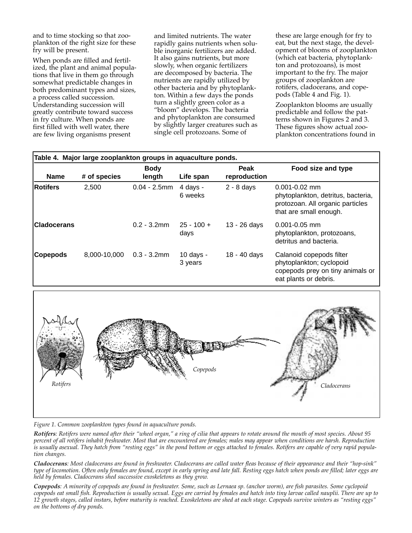and to time stocking so that zooplankton of the right size for these fry will be present.

When ponds are filled and fertilized, the plant and animal populations that live in them go through somewhat predictable changes in both predominant types and sizes, a process called succession. Understanding succession will greatly contribute toward success in fry culture. When ponds are first filled with well water, there are few living organisms present

and limited nutrients. The water rapidly gains nutrients when soluble inorganic fertilizers are added. It also gains nutrients, but more slowly, when organic fertilizers are decomposed by bacteria. The nutrients are rapidly utilized by other bacteria and by phytoplankton. Within a few days the ponds turn a slightly green color as a "bloom" develops. The bacteria and phytoplankton are consumed by slightly larger creatures such as single cell protozoans. Some of

these are large enough for fry to eat, but the next stage, the development of blooms of zooplankton (which eat bacteria, phytoplankton and protozoans), is most important to the fry. The major groups of zooplankton are rotifers, cladocerans, and copepods (Table 4 and Fig. 1).

Zooplankton blooms are usually predictable and follow the patterns shown in Figures 2 and 3. These figures show actual zooplankton concentrations found in

| Table 4. Major large zooplankton groups in aquaculture ponds. |              |                       |                        |                      |                                                                                                                       |  |
|---------------------------------------------------------------|--------------|-----------------------|------------------------|----------------------|-----------------------------------------------------------------------------------------------------------------------|--|
| <b>Name</b>                                                   | # of species | <b>Body</b><br>length | Life span              | Peak<br>reproduction | Food size and type                                                                                                    |  |
| <b>Rotifers</b>                                               | 2,500        | $0.04 - 2.5$ mm       | 4 days -<br>6 weeks    | $2 - 8$ days         | $0.001 - 0.02$ mm<br>phytoplankton, detritus, bacteria,<br>protozoan. All organic particles<br>that are small enough. |  |
| <b>ICladocerans</b>                                           |              | $0.2 - 3.2$ mm        | $25 - 100 +$<br>days   | 13 - 26 days         | $0.001 - 0.05$ mm<br>phytoplankton, protozoans,<br>detritus and bacteria.                                             |  |
| Copepods                                                      | 8,000-10,000 | $0.3 - 3.2$ mm        | $10$ days -<br>3 years | 18 - 40 days         | Calanoid copepods filter<br>phytoplankton; cyclopoid<br>copepods prey on tiny animals or<br>eat plants or debris.     |  |



*Figure 1. Common zooplankton types found in aquaculture ponds.* 

*Rotifers: Rotifers were named after their "wheel organ," a ring of cilia that appears to rotate around the mouth of most species. About 95 percent of all rotifers inhabit freshwater. Most that are encountered are females; males may appear when conditions are harsh. Reproduction is usually asexual. They hatch from "resting eggs" in the pond bottom or eggs attached to females. Rotifers are capable of very rapid population changes.*

*Cladocerans: Most cladocerans are found in freshwater. Cladocerans are called water fleas because of their appearance and their "hop-sink" type of locomotion. Often only females are found, except in early spring and late fall. Resting eggs hatch when ponds are filled; later eggs are held by females. Cladocerans shed successive exoskeletons as they grow.*

*Copepods: A minority of copepods are found in freshwater. Some, such as Lernaea sp. (anchor worm), are fish parasites. Some cyclopoid copepods eat small fish. Reproduction is usually sexual. Eggs are carried by females and hatch into tiny larvae called nauplii. There are up to 12 growth stages, called instars, before maturity is reached. Exoskeletons are shed at each stage. Copepods survive winters as "resting eggs" on the bottoms of dry ponds.*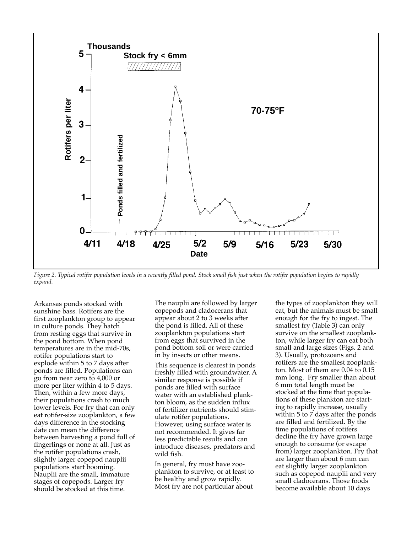

*Figure 2. Typical rotifer population levels in a recently filled pond. Stock small fish just when the rotifer population begins to rapidly expand.*

Arkansas ponds stocked with sunshine bass. Rotifers are the first zooplankton group to appear in culture ponds. They hatch from resting eggs that survive in the pond bottom. When pond temperatures are in the mid-70s, rotifer populations start to explode within 5 to 7 days after ponds are filled. Populations can go from near zero to 4,000 or more per liter within 4 to 5 days. Then, within a few more days, their populations crash to much lower levels. For fry that can only eat rotifer-size zooplankton, a few days difference in the stocking date can mean the difference between harvesting a pond full of fingerlings or none at all. Just as the rotifer populations crash, slightly larger copepod nauplii populations start booming. Nauplii are the small, immature stages of copepods. Larger fry should be stocked at this time.

The nauplii are followed by larger copepods and cladocerans that appear about 2 to 3 weeks after the pond is filled. All of these zooplankton populations start from eggs that survived in the pond bottom soil or were carried in by insects or other means.

This sequence is clearest in ponds freshly filled with groundwater. A similar response is possible if ponds are filled with surface water with an established plankton bloom, as the sudden influx of fertilizer nutrients should stimulate rotifer populations. However, using surface water is not recommended. It gives far less predictable results and can introduce diseases, predators and wild fish.

In general, fry must have zooplankton to survive, or at least to be healthy and grow rapidly. Most fry are not particular about

the types of zooplankton they will eat, but the animals must be small enough for the fry to ingest. The smallest fry (Table 3) can only survive on the smallest zooplankton, while larger fry can eat both small and large sizes (Figs. 2 and 3). Usually, protozoans and rotifers are the smallest zooplankton. Most of them are 0.04 to 0.15 mm long. Fry smaller than about 6 mm total length must be stocked at the time that populations of these plankton are starting to rapidly increase, usually within  $5$  to  $7$  days after the ponds are filled and fertilized. By the time populations of rotifers decline the fry have grown large enough to consume (or escape from) larger zooplankton. Fry that are larger than about 6 mm can eat slightly larger zooplankton such as copepod nauplii and very small cladocerans. Those foods become available about 10 days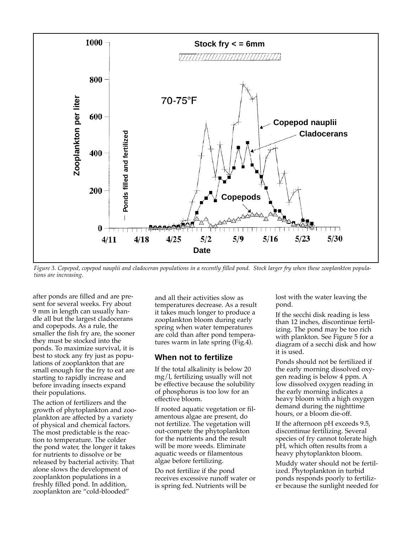

*Figure 3. Copepod, copepod nauplii and cladoceran populations in a recently filled pond. Stock larger fry when these zooplankton populations are increasing.*

after ponds are filled and are present for several weeks. Fry about 9 mm in length can usually handle all but the largest cladocerans and copepods. As a rule, the smaller the fish fry are, the sooner they must be stocked into the ponds. To maximize survival, it is best to stock any fry just as populations of zooplankton that are small enough for the fry to eat are starting to rapidly increase and before invading insects expand their populations.

The action of fertilizers and the growth of phytoplankton and zooplankton are affected by a variety of physical and chemical factors. The most predictable is the reaction to temperature. The colder the pond water, the longer it takes for nutrients to dissolve or be released by bacterial activity. That alone slows the development of zooplankton populations in a freshly filled pond. In addition, zooplankton are "cold-blooded"

and all their activities slow as temperatures decrease. As a result it takes much longer to produce a zooplankton bloom during early spring when water temperatures are cold than after pond temperatures warm in late spring (Fig.4).

## **When not to fertilize**

If the total alkalinity is below 20 mg/l, fertilizing usually will not be effective because the solubility of phosphorus is too low for an effective bloom.

If rooted aquatic vegetation or filamentous algae are present, do not fertilize. The vegetation will out-compete the phytoplankton for the nutrients and the result will be more weeds. Eliminate aquatic weeds or filamentous algae before fertilizing.

Do not fertilize if the pond receives excessive runoff water or is spring fed. Nutrients will be

lost with the water leaving the pond.

If the secchi disk reading is less than 12 inches, discontinue fertilizing. The pond may be too rich with plankton. See Figure 5 for a diagram of a secchi disk and how it is used.

Ponds should not be fertilized if the early morning dissolved oxygen reading is below 4 ppm. A low dissolved oxygen reading in the early morning indicates a heavy bloom with a high oxygen demand during the nighttime hours, or a bloom die-off.

If the afternoon pH exceeds 9.5, discontinue fertilizing. Several species of fry cannot tolerate high pH, which often results from a heavy phytoplankton bloom.

Muddy water should not be fertilized. Phytoplankton in turbid ponds responds poorly to fertilizer because the sunlight needed for